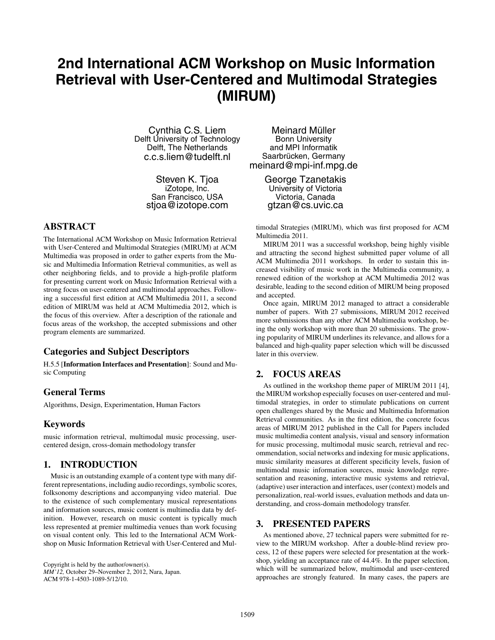# **2nd International ACM Workshop on Music Information Retrieval with User-Centered and Multimodal Strategies (MIRUM)**

Cynthia C.S. Liem Delft University of Technology Delft, The Netherlands c.c.s.liem@tudelft.nl

> Steven K. Tjoa iZotope, Inc. San Francisco, USA stjoa@izotope.com

## **ABSTRACT**

The International ACM Workshop on Music Information Retrieval with User-Centered and Multimodal Strategies (MIRUM) at ACM Multimedia was proposed in order to gather experts from the Music and Multimedia Information Retrieval communities, as well as other neighboring fields, and to provide a high-profile platform for presenting current work on Music Information Retrieval with a strong focus on user-centered and multimodal approaches. Following a successful first edition at ACM Multimedia 2011, a second edition of MIRUM was held at ACM Multimedia 2012, which is the focus of this overview. After a description of the rationale and focus areas of the workshop, the accepted submissions and other program elements are summarized.

## **Categories and Subject Descriptors**

H.5.5 [**Information Interfaces and Presentation**]: Sound and Music Computing

# **General Terms**

Algorithms, Design, Experimentation, Human Factors

## **Keywords**

music information retrieval, multimodal music processing, usercentered design, cross-domain methodology transfer

## **1. INTRODUCTION**

Music is an outstanding example of a content type with many different representations, including audio recordings, symbolic scores, folksonomy descriptions and accompanying video material. Due to the existence of such complementary musical representations and information sources, music content is multimedia data by definition. However, research on music content is typically much less represented at premier multimedia venues than work focusing on visual content only. This led to the International ACM Workshop on Music Information Retrieval with User-Centered and Mul-

Copyright is held by the author/owner(s). *MM'12,* October 29–November 2, 2012, Nara, Japan. ACM 978-1-4503-1089-5/12/10.

Meinard Müller Bonn University and MPI Informatik Saarbrücken, Germany meinard@mpi-inf.mpg.de

> George Tzanetakis University of Victoria Victoria, Canada gtzan@cs.uvic.ca

timodal Strategies (MIRUM), which was first proposed for ACM Multimedia 2011.

MIRUM 2011 was a successful workshop, being highly visible and attracting the second highest submitted paper volume of all ACM Multimedia 2011 workshops. In order to sustain this increased visibility of music work in the Multimedia community, a renewed edition of the workshop at ACM Multimedia 2012 was desirable, leading to the second edition of MIRUM being proposed and accepted.

Once again, MIRUM 2012 managed to attract a considerable number of papers. With 27 submissions, MIRUM 2012 received more submissions than any other ACM Multimedia workshop, being the only workshop with more than 20 submissions. The growing popularity of MIRUM underlines its relevance, and allows for a balanced and high-quality paper selection which will be discussed later in this overview.

# **2. FOCUS AREAS**

As outlined in the workshop theme paper of MIRUM 2011 [4], the MIRUM workshop especially focuses on user-centered and multimodal strategies, in order to stimulate publications on current open challenges shared by the Music and Multimedia Information Retrieval communities. As in the first edition, the concrete focus areas of MIRUM 2012 published in the Call for Papers included music multimedia content analysis, visual and sensory information for music processing, multimodal music search, retrieval and recommendation, social networks and indexing for music applications, music similarity measures at different specificity levels, fusion of multimodal music information sources, music knowledge representation and reasoning, interactive music systems and retrieval, (adaptive) user interaction and interfaces, user (context) models and personalization, real-world issues, evaluation methods and data understanding, and cross-domain methodology transfer.

### **3. PRESENTED PAPERS**

As mentioned above, 27 technical papers were submitted for review to the MIRUM workshop. After a double-blind review process, 12 of these papers were selected for presentation at the workshop, yielding an acceptance rate of 44.4%. In the paper selection, which will be summarized below, multimodal and user-centered approaches are strongly featured. In many cases, the papers are